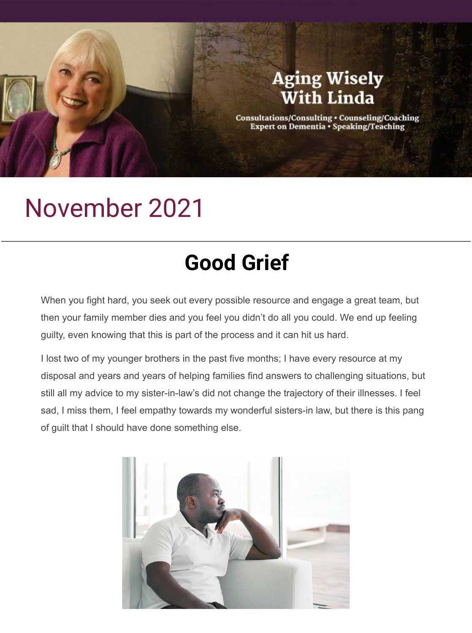## **Aging Wisely With Linda**

Consultations/Consulting • Counseling/Coaching<br>Expert on Dementia • Speaking/Teaching

## November 2021

## **Good Grief**

When you fight hard, you seek out every possible resource and engage a great team, but then your family member dies and you feel you didn't do all you could. We end up feeling guilty, even knowing that this is part of the process and it can hit us hard.

I lost two of my younger brothers in the past five months; I have every resource at my disposal and years and years of helping families find answers to challenging situations, but still all my advice to my sister-in-law's did not change the trajectory of their illnesses. I feel sad, I miss them, I feel empathy towards my wonderful sisters-in law, but there is this pang of guilt that I should have done something else.

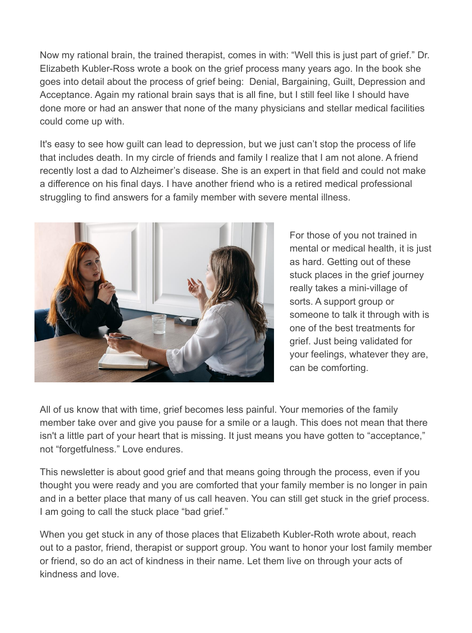Now my rational brain, the trained therapist, comes in with: "Well this is just part of grief." Dr. Elizabeth Kubler-Ross wrote a book on the grief process many years ago. In the book she goes into detail about the process of grief being: Denial, Bargaining, Guilt, Depression and Acceptance. Again my rational brain says that is all fine, but I still feel like I should have done more or had an answer that none of the many physicians and stellar medical facilities could come up with.

It's easy to see how guilt can lead to depression, but we just can't stop the process of life that includes death. In my circle of friends and family I realize that I am not alone. A friend recently lost a dad to Alzheimer's disease. She is an expert in that field and could not make a difference on his final days. I have another friend who is a retired medical professional struggling to find answers for a family member with severe mental illness.



For those of you not trained in mental or medical health, it is just as hard. Getting out of these stuck places in the grief journey really takes a mini-village of sorts. A support group or someone to talk it through with is one of the best treatments for grief. Just being validated for your feelings, whatever they are, can be comforting.

All of us know that with time, grief becomes less painful. Your memories of the family member take over and give you pause for a smile or a laugh. This does not mean that there isn't a little part of your heart that is missing. It just means you have gotten to "acceptance," not "forgetfulness." Love endures.

This newsletter is about good grief and that means going through the process, even if you thought you were ready and you are comforted that your family member is no longer in pain and in a better place that many of us call heaven. You can still get stuck in the grief process. I am going to call the stuck place "bad grief."

When you get stuck in any of those places that Elizabeth Kubler-Roth wrote about, reach out to a pastor, friend, therapist or support group. You want to honor your lost family member or friend, so do an act of kindness in their name. Let them live on through your acts of kindness and love.